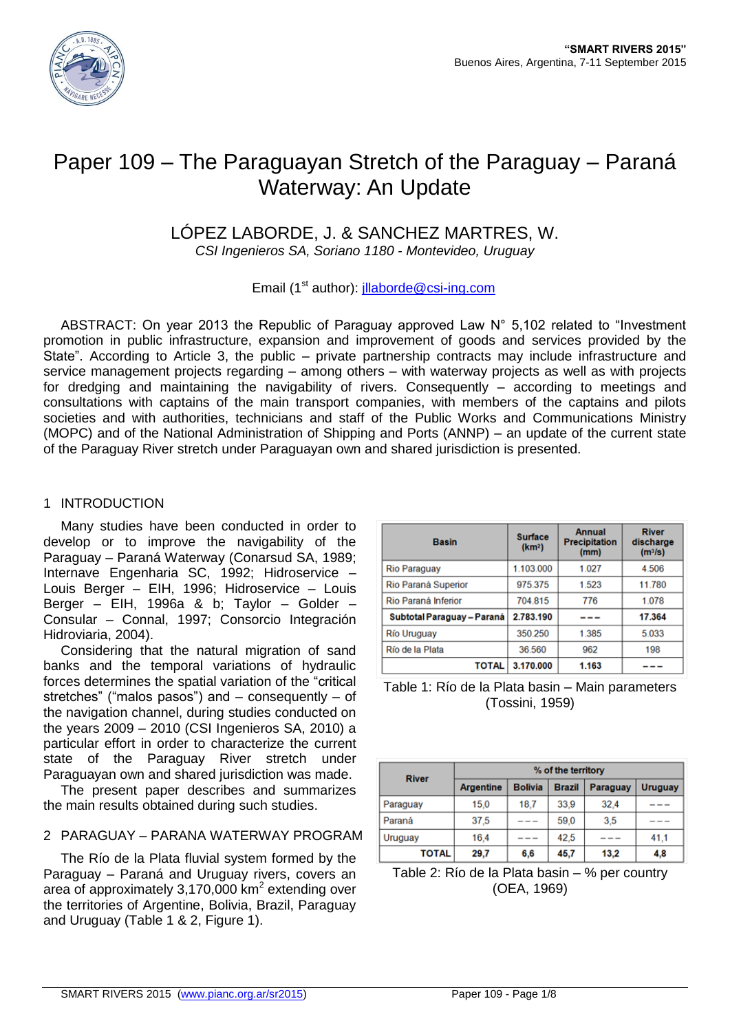

# Paper 109 – The Paraguayan Stretch of the Paraguay – Paraná Waterway: An Update

# LÓPEZ LABORDE, J. & SANCHEZ MARTRES, W.

*CSI Ingenieros SA, Soriano 1180 - Montevideo, Uruguay*

Email (1<sup>st</sup> author):  $\text{illaborde} @ \text{csi-}\text{inq.com}$ 

ABSTRACT: On year 2013 the Republic of Paraguay approved Law N° 5,102 related to "Investment promotion in public infrastructure, expansion and improvement of goods and services provided by the State". According to Article 3, the public – private partnership contracts may include infrastructure and service management projects regarding – among others – with waterway projects as well as with projects for dredging and maintaining the navigability of rivers. Consequently – according to meetings and consultations with captains of the main transport companies, with members of the captains and pilots societies and with authorities, technicians and staff of the Public Works and Communications Ministry (MOPC) and of the National Administration of Shipping and Ports (ANNP) – an update of the current state of the Paraguay River stretch under Paraguayan own and shared jurisdiction is presented.

#### 1 INTRODUCTION

Many studies have been conducted in order to develop or to improve the navigability of the Paraguay – Paraná Waterway (Conarsud SA, 1989; Internave Engenharia SC, 1992; Hidroservice – Louis Berger – EIH, 1996; Hidroservice – Louis Berger – EIH, 1996a & b; Taylor – Golder – Consular – Connal, 1997; Consorcio Integración Hidroviaria, 2004).

Considering that the natural migration of sand banks and the temporal variations of hydraulic forces determines the spatial variation of the "critical stretches" ("malos pasos") and – consequently – of the navigation channel, during studies conducted on the years 2009 – 2010 (CSI Ingenieros SA, 2010) a particular effort in order to characterize the current state of the Paraguay River stretch under Paraguayan own and shared jurisdiction was made.

The present paper describes and summarizes the main results obtained during such studies.

# 2 PARAGUAY – PARANA WATERWAY PROGRAM

The Río de la Plata fluvial system formed by the Paraguay – Paraná and Uruguay rivers, covers an area of approximately 3,170,000 km<sup>2</sup> extending over the territories of Argentine, Bolivia, Brazil, Paraguay and Uruguay (Table 1 & 2, Figure 1).

| <b>Basin</b>               | <b>Surface</b><br>(km <sup>2</sup> ) | <b>Annual</b><br><b>Precipitation</b><br>(mm) | <b>River</b><br>discharge<br>(m <sup>3</sup> /s) |
|----------------------------|--------------------------------------|-----------------------------------------------|--------------------------------------------------|
| <b>Rio Paraguay</b>        | 1.103.000                            | 1.027                                         | 4.506                                            |
| Rio Paraná Superior        | 975.375                              | 1.523                                         | 11.780                                           |
| Rio Paraná Inferior        | 704.815                              | 776                                           | 1.078                                            |
| Subtotal Paraguay - Paraná | 2.783.190                            |                                               | 17.364                                           |
| <b>Río Uruguay</b>         | 350.250                              | 1.385                                         | 5.033                                            |
| Río de la Plata            | 36.560                               | 962                                           | 198                                              |
| TOTAL                      | 3.170.000                            | 1.163                                         |                                                  |

Table 1: Río de la Plata basin – Main parameters (Tossini, 1959)

| <b>River</b> | % of the territory |                |               |          |                |  |
|--------------|--------------------|----------------|---------------|----------|----------------|--|
|              | <b>Argentine</b>   | <b>Bolivia</b> | <b>Brazil</b> | Paraguay | <b>Uruguay</b> |  |
| Paraguay     | 15.0               | 18.7           | 33,9          | 32.4     |                |  |
| Paraná       | 37.5               |                | 59.0          | 3.5      |                |  |
| Uruguay      | 16,4               |                | 42,5          |          | 41.1           |  |
| <b>TOTAL</b> | 29.7               | 6.6            | 45,7          | 13.2     | 4,8            |  |

Table 2: Río de la Plata basin – % per country (OEA, 1969)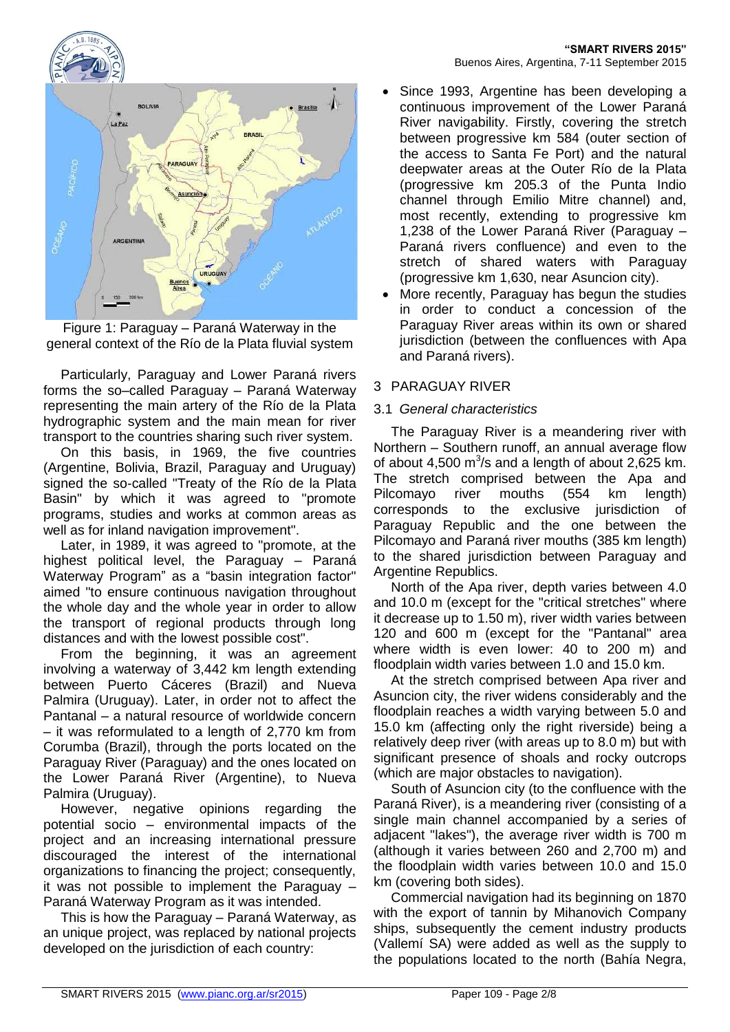



Figure 1: Paraguay – Paraná Waterway in the general context of the Río de la Plata fluvial system

Particularly, Paraguay and Lower Paraná rivers forms the so–called Paraguay – Paraná Waterway representing the main artery of the Río de la Plata hydrographic system and the main mean for river transport to the countries sharing such river system.

On this basis, in 1969, the five countries (Argentine, Bolivia, Brazil, Paraguay and Uruguay) signed the so-called "Treaty of the Río de la Plata Basin" by which it was agreed to "promote programs, studies and works at common areas as well as for inland navigation improvement".

Later, in 1989, it was agreed to "promote, at the highest political level, the Paraguay – Paraná Waterway Program" as a "basin integration factor" aimed "to ensure continuous navigation throughout the whole day and the whole year in order to allow the transport of regional products through long distances and with the lowest possible cost".

From the beginning, it was an agreement involving a waterway of 3,442 km length extending between Puerto Cáceres (Brazil) and Nueva Palmira (Uruguay). Later, in order not to affect the Pantanal – a natural resource of worldwide concern – it was reformulated to a length of 2,770 km from Corumba (Brazil), through the ports located on the Paraguay River (Paraguay) and the ones located on the Lower Paraná River (Argentine), to Nueva Palmira (Uruguay).

However, negative opinions regarding the potential socio – environmental impacts of the project and an increasing international pressure discouraged the interest of the international organizations to financing the project; consequently, it was not possible to implement the Paraguay – Paraná Waterway Program as it was intended.

This is how the Paraguay – Paraná Waterway, as an unique project, was replaced by national projects developed on the jurisdiction of each country:

- Since 1993, Argentine has been developing a continuous improvement of the Lower Paraná River navigability. Firstly, covering the stretch between progressive km 584 (outer section of the access to Santa Fe Port) and the natural deepwater areas at the Outer Río de la Plata (progressive km 205.3 of the Punta Indio channel through Emilio Mitre channel) and, most recently, extending to progressive km 1,238 of the Lower Paraná River (Paraguay – Paraná rivers confluence) and even to the stretch of shared waters with Paraguay (progressive km 1,630, near Asuncion city).
- More recently, Paraguay has begun the studies in order to conduct a concession of the Paraguay River areas within its own or shared jurisdiction (between the confluences with Apa and Paraná rivers).

# 3 PARAGUAY RIVER

#### 3.1 *General characteristics*

The Paraguay River is a meandering river with Northern – Southern runoff, an annual average flow of about 4,500  $\text{m}^3$ /s and a length of about 2,625 km. The stretch comprised between the Apa and Pilcomayo river mouths (554 km length) corresponds to the exclusive jurisdiction of Paraguay Republic and the one between the Pilcomayo and Paraná river mouths (385 km length) to the shared jurisdiction between Paraguay and Argentine Republics.

North of the Apa river, depth varies between 4.0 and 10.0 m (except for the "critical stretches" where it decrease up to 1.50 m), river width varies between 120 and 600 m (except for the "Pantanal" area where width is even lower: 40 to 200 m) and floodplain width varies between 1.0 and 15.0 km.

At the stretch comprised between Apa river and Asuncion city, the river widens considerably and the floodplain reaches a width varying between 5.0 and 15.0 km (affecting only the right riverside) being a relatively deep river (with areas up to 8.0 m) but with significant presence of shoals and rocky outcrops (which are major obstacles to navigation).

South of Asuncion city (to the confluence with the Paraná River), is a meandering river (consisting of a single main channel accompanied by a series of adjacent "lakes"), the average river width is 700 m (although it varies between 260 and 2,700 m) and the floodplain width varies between 10.0 and 15.0 km (covering both sides).

Commercial navigation had its beginning on 1870 with the export of tannin by Mihanovich Company ships, subsequently the cement industry products (Vallemí SA) were added as well as the supply to the populations located to the north (Bahía Negra,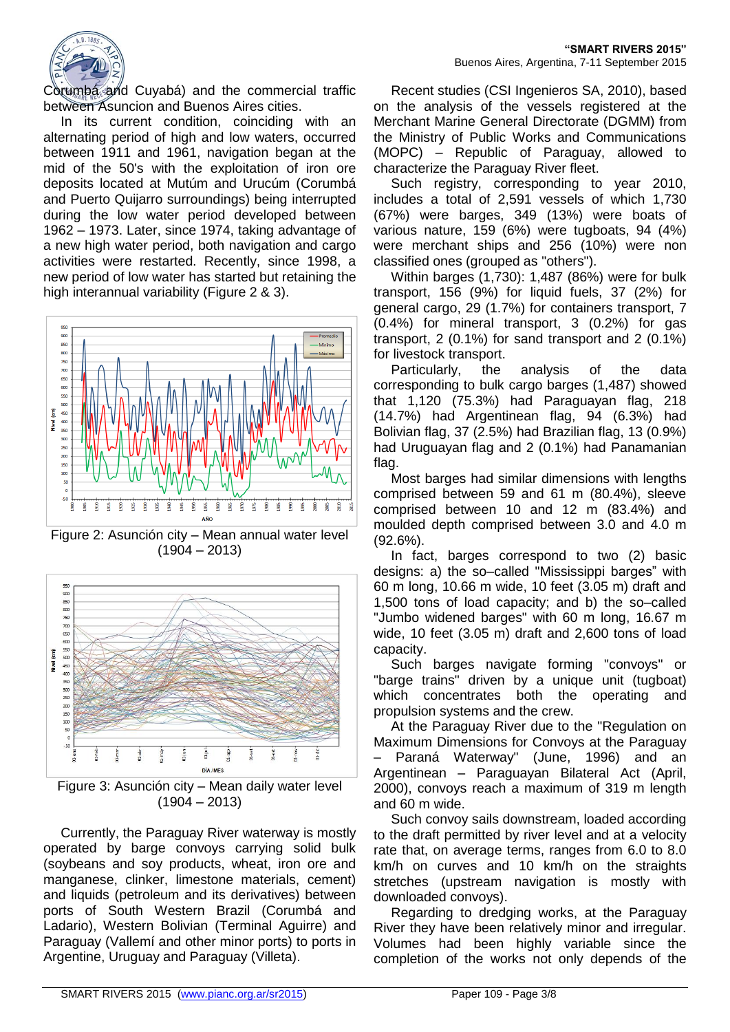

**"SMART RIVERS 2015"** Buenos Aires, Argentina, 7-11 September 2015

Corumbá and Cuyabá) and the commercial traffic between Asuncion and Buenos Aires cities.

In its current condition, coinciding with an alternating period of high and low waters, occurred between 1911 and 1961, navigation began at the mid of the 50's with the exploitation of iron ore deposits located at Mutúm and Urucúm (Corumbá and Puerto Quijarro surroundings) being interrupted during the low water period developed between 1962 – 1973. Later, since 1974, taking advantage of a new high water period, both navigation and cargo activities were restarted. Recently, since 1998, a new period of low water has started but retaining the high interannual variability (Figure 2 & 3).



Figure 2: Asunción city – Mean annual water level  $(1904 - 2013)$ 



Figure 3: Asunción city – Mean daily water level  $(1904 - 2013)$ 

Currently, the Paraguay River waterway is mostly operated by barge convoys carrying solid bulk (soybeans and soy products, wheat, iron ore and manganese, clinker, limestone materials, cement) and liquids (petroleum and its derivatives) between ports of South Western Brazil (Corumbá and Ladario), Western Bolivian (Terminal Aguirre) and Paraguay (Vallemí and other minor ports) to ports in Argentine, Uruguay and Paraguay (Villeta).

Recent studies (CSI Ingenieros SA, 2010), based on the analysis of the vessels registered at the Merchant Marine General Directorate (DGMM) from the Ministry of Public Works and Communications (MOPC) – Republic of Paraguay, allowed to characterize the Paraguay River fleet.

Such registry, corresponding to year 2010, includes a total of 2,591 vessels of which 1,730 (67%) were barges, 349 (13%) were boats of various nature, 159 (6%) were tugboats, 94 (4%) were merchant ships and 256 (10%) were non classified ones (grouped as "others").

Within barges (1,730): 1,487 (86%) were for bulk transport, 156 (9%) for liquid fuels, 37 (2%) for general cargo, 29 (1.7%) for containers transport, 7 (0.4%) for mineral transport, 3 (0.2%) for gas transport, 2 (0.1%) for sand transport and 2 (0.1%) for livestock transport.

Particularly, the analysis of the data corresponding to bulk cargo barges (1,487) showed that 1,120 (75.3%) had Paraguayan flag, 218 (14.7%) had Argentinean flag, 94 (6.3%) had Bolivian flag, 37 (2.5%) had Brazilian flag, 13 (0.9%) had Uruguayan flag and 2 (0.1%) had Panamanian flag.

Most barges had similar dimensions with lengths comprised between 59 and 61 m (80.4%), sleeve comprised between 10 and 12 m (83.4%) and moulded depth comprised between 3.0 and 4.0 m (92.6%).

In fact, barges correspond to two (2) basic designs: a) the so–called "Mississippi barges" with 60 m long, 10.66 m wide, 10 feet (3.05 m) draft and 1,500 tons of load capacity; and b) the so–called "Jumbo widened barges" with 60 m long, 16.67 m wide, 10 feet (3.05 m) draft and 2,600 tons of load capacity.

Such barges navigate forming "convoys" or "barge trains" driven by a unique unit (tugboat) which concentrates both the operating and propulsion systems and the crew.

At the Paraguay River due to the "Regulation on Maximum Dimensions for Convoys at the Paraguay – Paraná Waterway" (June, 1996) and an Argentinean – Paraguayan Bilateral Act (April, 2000), convoys reach a maximum of 319 m length and 60 m wide.

Such convoy sails downstream, loaded according to the draft permitted by river level and at a velocity rate that, on average terms, ranges from 6.0 to 8.0 km/h on curves and 10 km/h on the straights stretches (upstream navigation is mostly with downloaded convoys).

Regarding to dredging works, at the Paraguay River they have been relatively minor and irregular. Volumes had been highly variable since the completion of the works not only depends of the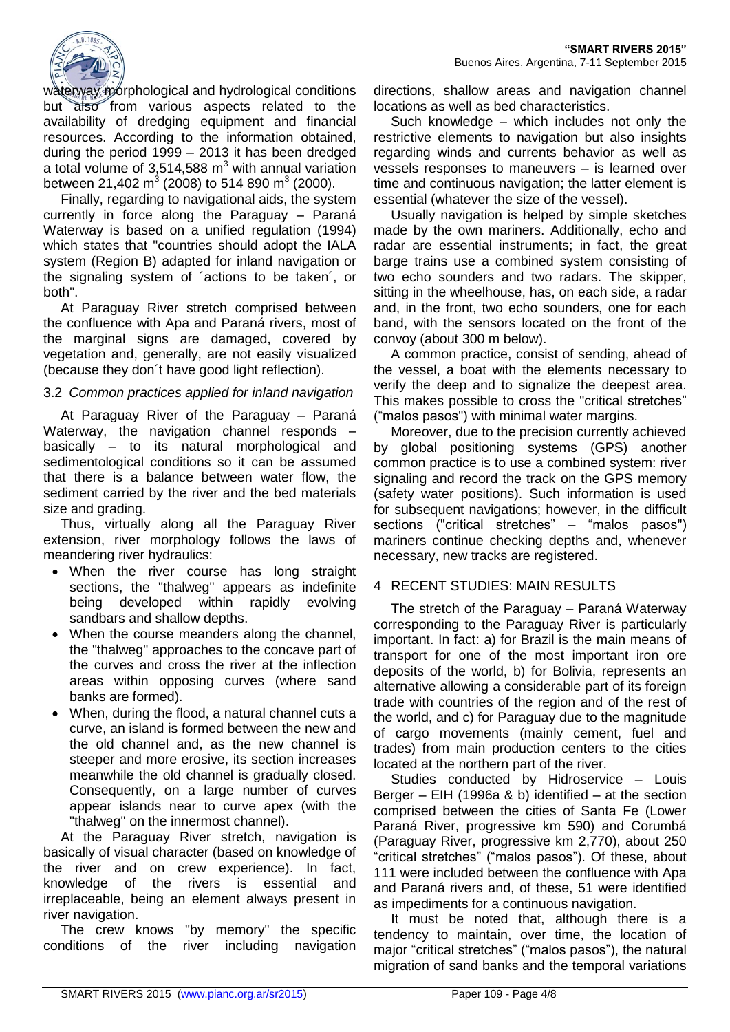

waterway morphological and hydrological conditions but also from various aspects related to the availability of dredging equipment and financial resources. According to the information obtained, during the period 1999 – 2013 it has been dredged a total volume of 3,514,588  $m<sup>3</sup>$  with annual variation between 21,402 m<sup>3</sup> (2008) to 514 890 m<sup>3</sup> (2000).

Finally, regarding to navigational aids, the system currently in force along the Paraguay – Paraná Waterway is based on a unified regulation (1994) which states that "countries should adopt the IALA system (Region B) adapted for inland navigation or the signaling system of ´actions to be taken´, or both".

At Paraguay River stretch comprised between the confluence with Apa and Paraná rivers, most of the marginal signs are damaged, covered by vegetation and, generally, are not easily visualized (because they don´t have good light reflection).

#### 3.2 *Common practices applied for inland navigation*

At Paraguay River of the Paraguay – Paraná Waterway, the navigation channel responds – basically – to its natural morphological and sedimentological conditions so it can be assumed that there is a balance between water flow, the sediment carried by the river and the bed materials size and grading.

Thus, virtually along all the Paraguay River extension, river morphology follows the laws of meandering river hydraulics:

- When the river course has long straight sections, the "thalweg" appears as indefinite being developed within rapidly evolving sandbars and shallow depths.
- When the course meanders along the channel, the "thalweg" approaches to the concave part of the curves and cross the river at the inflection areas within opposing curves (where sand banks are formed).
- When, during the flood, a natural channel cuts a curve, an island is formed between the new and the old channel and, as the new channel is steeper and more erosive, its section increases meanwhile the old channel is gradually closed. Consequently, on a large number of curves appear islands near to curve apex (with the "thalweg" on the innermost channel).

At the Paraguay River stretch, navigation is basically of visual character (based on knowledge of the river and on crew experience). In fact, knowledge of the rivers is essential and irreplaceable, being an element always present in river navigation.

The crew knows "by memory" the specific conditions of the river including navigation directions, shallow areas and navigation channel locations as well as bed characteristics.

Such knowledge – which includes not only the restrictive elements to navigation but also insights regarding winds and currents behavior as well as vessels responses to maneuvers – is learned over time and continuous navigation; the latter element is essential (whatever the size of the vessel).

Usually navigation is helped by simple sketches made by the own mariners. Additionally, echo and radar are essential instruments; in fact, the great barge trains use a combined system consisting of two echo sounders and two radars. The skipper, sitting in the wheelhouse, has, on each side, a radar and, in the front, two echo sounders, one for each band, with the sensors located on the front of the convoy (about 300 m below).

A common practice, consist of sending, ahead of the vessel, a boat with the elements necessary to verify the deep and to signalize the deepest area. This makes possible to cross the "critical stretches" ("malos pasos") with minimal water margins.

Moreover, due to the precision currently achieved by global positioning systems (GPS) another common practice is to use a combined system: river signaling and record the track on the GPS memory (safety water positions). Such information is used for subsequent navigations; however, in the difficult sections ("critical stretches" – "malos pasos") mariners continue checking depths and, whenever necessary, new tracks are registered.

#### 4 RECENT STUDIES: MAIN RESULTS

The stretch of the Paraguay – Paraná Waterway corresponding to the Paraguay River is particularly important. In fact: a) for Brazil is the main means of transport for one of the most important iron ore deposits of the world, b) for Bolivia, represents an alternative allowing a considerable part of its foreign trade with countries of the region and of the rest of the world, and c) for Paraguay due to the magnitude of cargo movements (mainly cement, fuel and trades) from main production centers to the cities located at the northern part of the river.

Studies conducted by Hidroservice – Louis Berger – EIH (1996a & b) identified – at the section comprised between the cities of Santa Fe (Lower Paraná River, progressive km 590) and Corumbá (Paraguay River, progressive km 2,770), about 250 "critical stretches" ("malos pasos"). Of these, about 111 were included between the confluence with Apa and Paraná rivers and, of these, 51 were identified as impediments for a continuous navigation.

It must be noted that, although there is a tendency to maintain, over time, the location of major "critical stretches" ("malos pasos"), the natural migration of sand banks and the temporal variations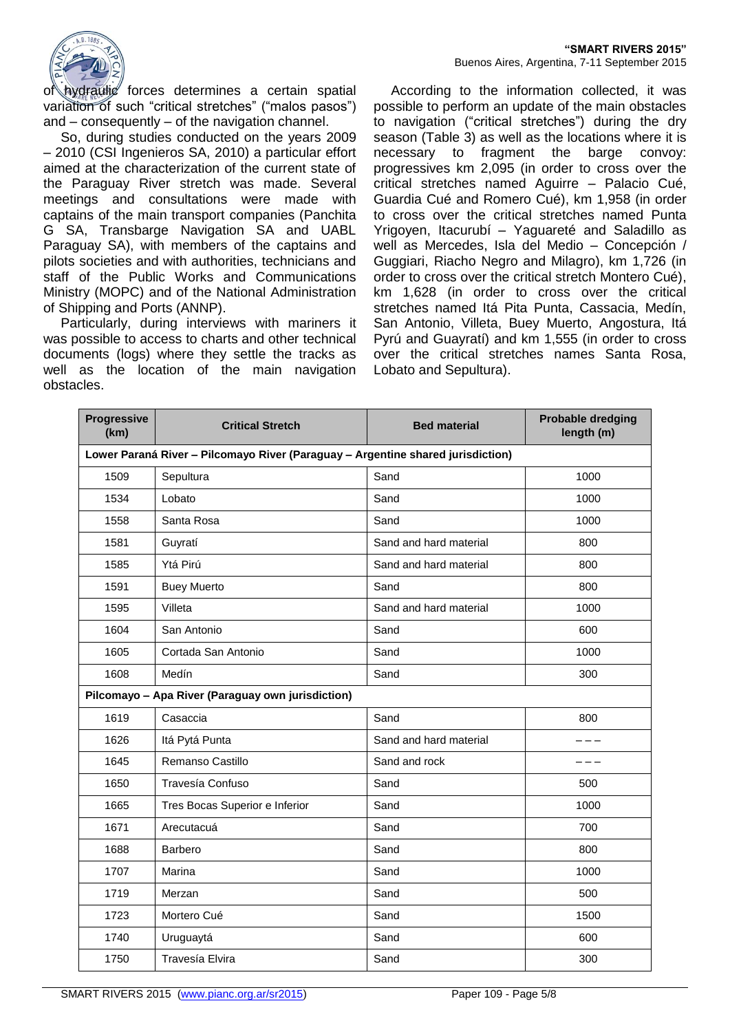

of hydraulic forces determines a certain spatial variation of such "critical stretches" ("malos pasos") and – consequently – of the navigation channel.

So, during studies conducted on the years 2009 – 2010 (CSI Ingenieros SA, 2010) a particular effort aimed at the characterization of the current state of the Paraguay River stretch was made. Several meetings and consultations were made with captains of the main transport companies (Panchita G SA, Transbarge Navigation SA and UABL Paraguay SA), with members of the captains and pilots societies and with authorities, technicians and staff of the Public Works and Communications Ministry (MOPC) and of the National Administration of Shipping and Ports (ANNP).

Particularly, during interviews with mariners it was possible to access to charts and other technical documents (logs) where they settle the tracks as well as the location of the main navigation obstacles.

According to the information collected, it was possible to perform an update of the main obstacles to navigation ("critical stretches") during the dry season (Table 3) as well as the locations where it is necessary to fragment the barge convoy: progressives km 2,095 (in order to cross over the critical stretches named Aguirre – Palacio Cué, Guardia Cué and Romero Cué), km 1,958 (in order to cross over the critical stretches named Punta Yrigoyen, Itacurubí – Yaguareté and Saladillo as well as Mercedes, Isla del Medio – Concepción / Guggiari, Riacho Negro and Milagro), km 1,726 (in order to cross over the critical stretch Montero Cué), km 1,628 (in order to cross over the critical stretches named Itá Pita Punta, Cassacia, Medín, San Antonio, Villeta, Buey Muerto, Angostura, Itá Pyrú and Guayratí) and km 1,555 (in order to cross over the critical stretches names Santa Rosa, Lobato and Sepultura).

| <b>Progressive</b><br>(km)                                                      | <b>Critical Stretch</b>                           | <b>Bed material</b>    | <b>Probable dredging</b><br>length (m) |  |
|---------------------------------------------------------------------------------|---------------------------------------------------|------------------------|----------------------------------------|--|
| Lower Paraná River - Pilcomayo River (Paraguay - Argentine shared jurisdiction) |                                                   |                        |                                        |  |
| 1509                                                                            | Sepultura                                         | Sand                   | 1000                                   |  |
| 1534                                                                            | Lobato                                            | Sand                   | 1000                                   |  |
| 1558                                                                            | Santa Rosa                                        | Sand                   | 1000                                   |  |
| 1581                                                                            | Guyratí                                           | Sand and hard material | 800                                    |  |
| 1585                                                                            | Ytá Pirú                                          | Sand and hard material | 800                                    |  |
| 1591                                                                            | <b>Buey Muerto</b>                                | Sand                   | 800                                    |  |
| 1595                                                                            | Villeta                                           | Sand and hard material | 1000                                   |  |
| 1604                                                                            | San Antonio                                       | Sand                   | 600                                    |  |
| 1605                                                                            | Cortada San Antonio                               | Sand                   | 1000                                   |  |
| 1608                                                                            | Medín                                             | Sand                   | 300                                    |  |
|                                                                                 | Pilcomayo - Apa River (Paraguay own jurisdiction) |                        |                                        |  |
| 1619                                                                            | Casaccia                                          | Sand                   | 800                                    |  |
| 1626                                                                            | Itá Pytá Punta                                    | Sand and hard material |                                        |  |
| 1645                                                                            | Remanso Castillo                                  | Sand and rock          |                                        |  |
| 1650                                                                            | Travesía Confuso                                  | Sand                   | 500                                    |  |
| 1665                                                                            | Tres Bocas Superior e Inferior                    | Sand                   | 1000                                   |  |
| 1671                                                                            | Arecutacuá                                        | Sand                   | 700                                    |  |
| 1688                                                                            | Barbero                                           | Sand                   | 800                                    |  |
| 1707                                                                            | Marina                                            | Sand                   | 1000                                   |  |
| 1719                                                                            | Merzan                                            | Sand                   | 500                                    |  |
| 1723                                                                            | Mortero Cué                                       | Sand                   | 1500                                   |  |
| 1740                                                                            | Uruguaytá                                         | Sand                   | 600                                    |  |
| 1750                                                                            | Travesía Elvira                                   | Sand                   | 300                                    |  |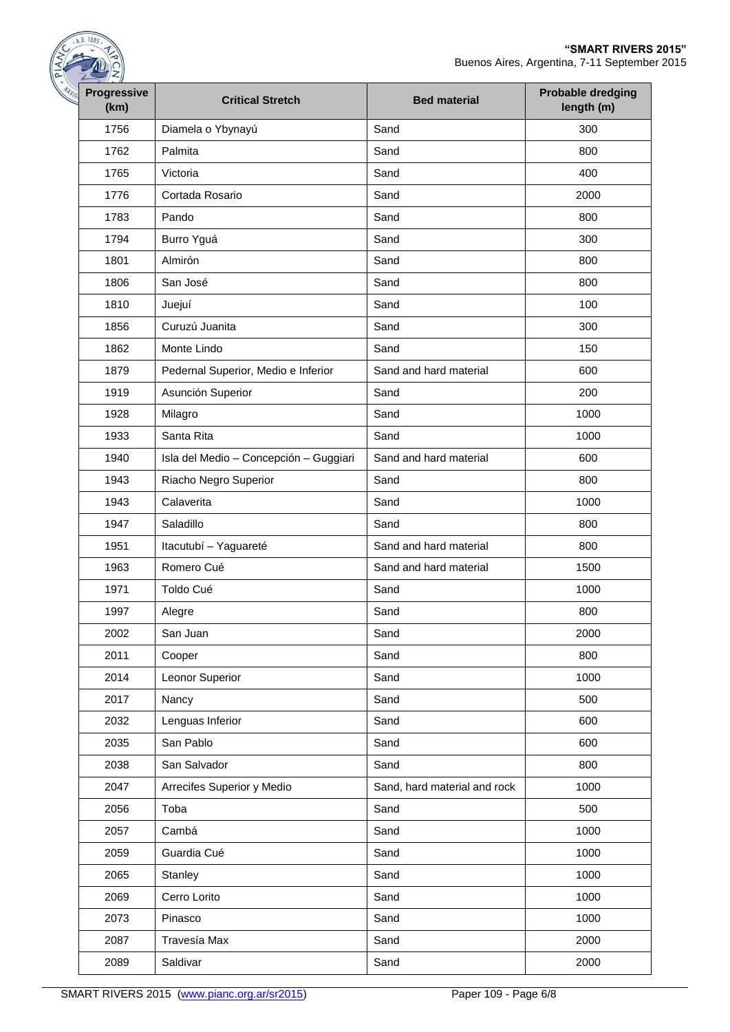| <b>Progressive</b><br><b>Critical Stretch</b><br><b>Bed material</b><br>Diamela o Ybynayú<br>Sand<br>Palmita<br>Sand<br>Sand<br>Victoria | <b>Probable dredging</b><br>length (m)<br>300 |
|------------------------------------------------------------------------------------------------------------------------------------------|-----------------------------------------------|
|                                                                                                                                          |                                               |
|                                                                                                                                          |                                               |
|                                                                                                                                          | 800                                           |
|                                                                                                                                          | 400                                           |
| Sand<br>Cortada Rosario                                                                                                                  | 2000                                          |
| Pando<br>Sand                                                                                                                            | 800                                           |
| Sand<br>Burro Yguá                                                                                                                       | 300                                           |
| Almirón<br>Sand                                                                                                                          | 800                                           |
| San José<br>Sand                                                                                                                         | 800                                           |
| Juejuí<br>Sand                                                                                                                           | 100                                           |
| Curuzú Juanita<br>Sand                                                                                                                   | 300                                           |
| Monte Lindo<br>Sand                                                                                                                      | 150                                           |
| Pedernal Superior, Medio e Inferior<br>Sand and hard material                                                                            | 600                                           |
| Asunción Superior<br>Sand                                                                                                                | 200                                           |
| Sand<br>Milagro                                                                                                                          | 1000                                          |
| Santa Rita<br>Sand                                                                                                                       | 1000                                          |
| Isla del Medio - Concepción - Guggiari<br>Sand and hard material                                                                         | 600                                           |
| Riacho Negro Superior<br>Sand                                                                                                            | 800                                           |
| Sand<br>Calaverita                                                                                                                       | 1000                                          |
| Saladillo<br>Sand                                                                                                                        | 800                                           |
| Itacutubí - Yaguareté<br>Sand and hard material                                                                                          | 800                                           |
| Romero Cué<br>Sand and hard material                                                                                                     | 1500                                          |
| Sand<br>Toldo Cué                                                                                                                        | 1000                                          |
| Sand<br>Alegre                                                                                                                           | 800                                           |
| San Juan<br>Sand                                                                                                                         | 2000                                          |
| Sand<br>Cooper                                                                                                                           | 800                                           |
| Leonor Superior<br>Sand                                                                                                                  | 1000                                          |
| Sand<br>Nancy                                                                                                                            | 500                                           |
| Lenguas Inferior<br>Sand                                                                                                                 | 600                                           |
| San Pablo<br>Sand                                                                                                                        | 600                                           |
| San Salvador<br>Sand                                                                                                                     | 800                                           |
| Arrecifes Superior y Medio<br>Sand, hard material and rock                                                                               | 1000                                          |
| Sand<br>Toba                                                                                                                             | 500                                           |
| Sand<br>Cambá                                                                                                                            | 1000                                          |
| Guardia Cué<br>Sand                                                                                                                      | 1000                                          |
| Sand<br>Stanley                                                                                                                          | 1000                                          |
| Cerro Lorito<br>Sand                                                                                                                     | 1000                                          |
| Sand<br>Pinasco                                                                                                                          | 1000                                          |
| Travesía Max<br>Sand                                                                                                                     | 2000                                          |
| Saldivar<br>Sand                                                                                                                         | 2000                                          |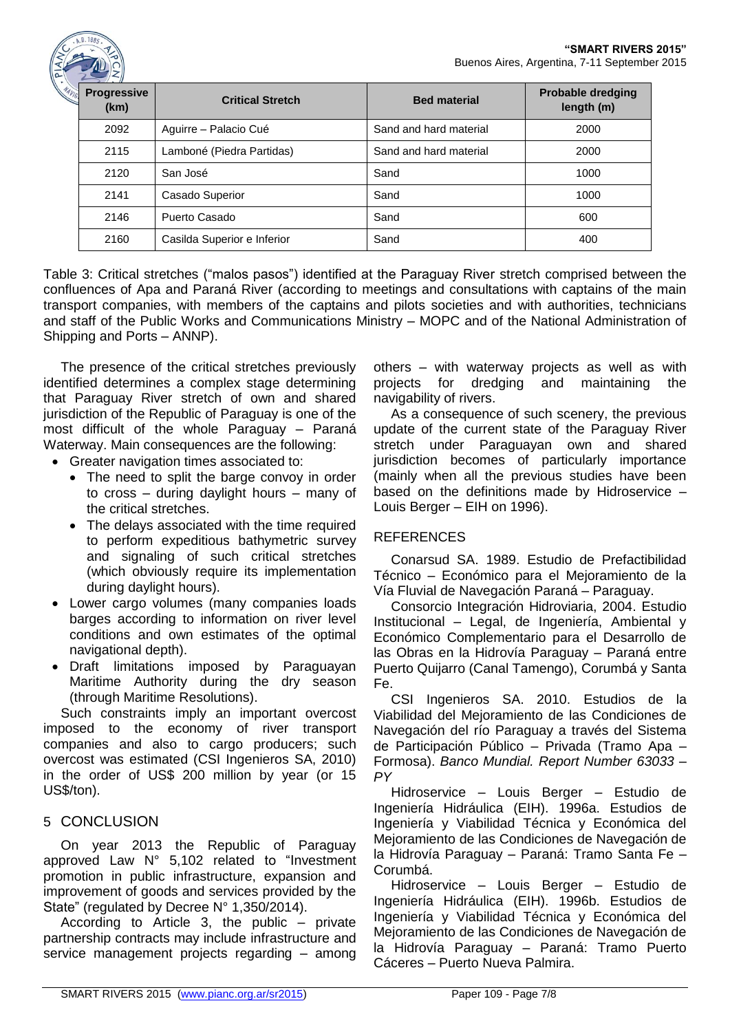| $\rightarrow$              |                             |                        |                                        |
|----------------------------|-----------------------------|------------------------|----------------------------------------|
| <b>Progressive</b><br>(km) | <b>Critical Stretch</b>     | <b>Bed material</b>    | <b>Probable dredging</b><br>length (m) |
| 2092                       | Aguirre - Palacio Cué       | Sand and hard material | 2000                                   |
| 2115                       | Lamboné (Piedra Partidas)   | Sand and hard material | 2000                                   |
| 2120                       | San José                    | Sand                   | 1000                                   |
| 2141                       | Casado Superior             | Sand                   | 1000                                   |
| 2146                       | Puerto Casado               | Sand                   | 600                                    |
| 2160                       | Casilda Superior e Inferior | Sand                   | 400                                    |
|                            |                             |                        |                                        |

Table 3: Critical stretches ("malos pasos") identified at the Paraguay River stretch comprised between the confluences of Apa and Paraná River (according to meetings and consultations with captains of the main transport companies, with members of the captains and pilots societies and with authorities, technicians and staff of the Public Works and Communications Ministry – MOPC and of the National Administration of Shipping and Ports – ANNP).

The presence of the critical stretches previously identified determines a complex stage determining that Paraguay River stretch of own and shared jurisdiction of the Republic of Paraguay is one of the most difficult of the whole Paraguay – Paraná Waterway. Main consequences are the following:

- Greater navigation times associated to:
	- The need to split the barge convoy in order to cross – during daylight hours – many of the critical stretches.
	- The delays associated with the time required to perform expeditious bathymetric survey and signaling of such critical stretches (which obviously require its implementation during daylight hours).
- Lower cargo volumes (many companies loads barges according to information on river level conditions and own estimates of the optimal navigational depth).
- Draft limitations imposed by Paraguayan Maritime Authority during the dry season (through Maritime Resolutions).

Such constraints imply an important overcost imposed to the economy of river transport companies and also to cargo producers; such overcost was estimated (CSI Ingenieros SA, 2010) in the order of US\$ 200 million by year (or 15 US\$/ton).

# 5 CONCLUSION

On year 2013 the Republic of Paraguay approved Law N° 5,102 related to "Investment promotion in public infrastructure, expansion and improvement of goods and services provided by the State" (regulated by Decree N° 1,350/2014).

According to Article 3, the public – private partnership contracts may include infrastructure and service management projects regarding – among others – with waterway projects as well as with projects for dredging and maintaining the navigability of rivers.

As a consequence of such scenery, the previous update of the current state of the Paraguay River stretch under Paraguayan own and shared jurisdiction becomes of particularly importance (mainly when all the previous studies have been based on the definitions made by Hidroservice – Louis Berger – EIH on 1996).

# REFERENCES

Conarsud SA. 1989. Estudio de Prefactibilidad Técnico – Económico para el Mejoramiento de la Vía Fluvial de Navegación Paraná – Paraguay.

Consorcio Integración Hidroviaria, 2004. Estudio Institucional – Legal, de Ingeniería, Ambiental y Económico Complementario para el Desarrollo de las Obras en la Hidrovía Paraguay – Paraná entre Puerto Quijarro (Canal Tamengo), Corumbá y Santa Fe.

CSI Ingenieros SA. 2010. Estudios de la Viabilidad del Mejoramiento de las Condiciones de Navegación del río Paraguay a través del Sistema de Participación Público – Privada (Tramo Apa – Formosa). *Banco Mundial. Report Number 63033 – PY*

Hidroservice – Louis Berger – Estudio de Ingeniería Hidráulica (EIH). 1996a. Estudios de Ingeniería y Viabilidad Técnica y Económica del Mejoramiento de las Condiciones de Navegación de la Hidrovía Paraguay – Paraná: Tramo Santa Fe – Corumbá.

Hidroservice – Louis Berger – Estudio de Ingeniería Hidráulica (EIH). 1996b. Estudios de Ingeniería y Viabilidad Técnica y Económica del Mejoramiento de las Condiciones de Navegación de la Hidrovía Paraguay – Paraná: Tramo Puerto Cáceres – Puerto Nueva Palmira.